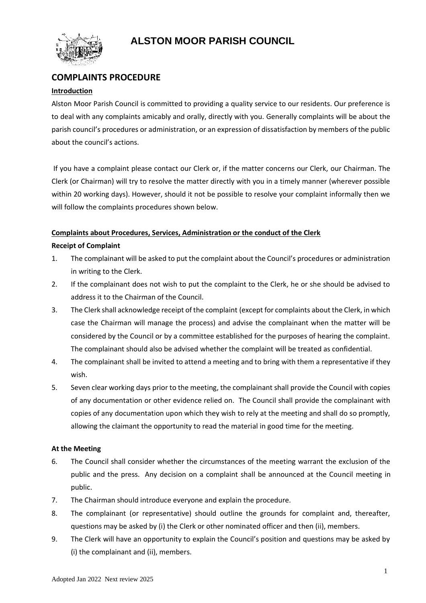# **ALSTON MOOR PARISH COUNCIL**



# **COMPLAINTS PROCEDURE**

### **Introduction**

Alston Moor Parish Council is committed to providing a quality service to our residents. Our preference is to deal with any complaints amicably and orally, directly with you. Generally complaints will be about the parish council's procedures or administration, or an expression of dissatisfaction by members of the public about the council's actions.

If you have a complaint please contact our Clerk or, if the matter concerns our Clerk, our Chairman. The Clerk (or Chairman) will try to resolve the matter directly with you in a timely manner (wherever possible within 20 working days). However, should it not be possible to resolve your complaint informally then we will follow the complaints procedures shown below.

#### **Complaints about Procedures, Services, Administration or the conduct of the Clerk**

#### **Receipt of Complaint**

- 1. The complainant will be asked to put the complaint about the Council's procedures or administration in writing to the Clerk.
- 2. If the complainant does not wish to put the complaint to the Clerk, he or she should be advised to address it to the Chairman of the Council.
- 3. The Clerk shall acknowledge receipt of the complaint (except for complaints about the Clerk, in which case the Chairman will manage the process) and advise the complainant when the matter will be considered by the Council or by a committee established for the purposes of hearing the complaint. The complainant should also be advised whether the complaint will be treated as confidential.
- 4. The complainant shall be invited to attend a meeting and to bring with them a representative if they wish.
- 5. Seven clear working days prior to the meeting, the complainant shall provide the Council with copies of any documentation or other evidence relied on. The Council shall provide the complainant with copies of any documentation upon which they wish to rely at the meeting and shall do so promptly, allowing the claimant the opportunity to read the material in good time for the meeting.

## **At the Meeting**

- 6. The Council shall consider whether the circumstances of the meeting warrant the exclusion of the public and the press. Any decision on a complaint shall be announced at the Council meeting in public.
- 7. The Chairman should introduce everyone and explain the procedure.
- 8. The complainant (or representative) should outline the grounds for complaint and, thereafter, questions may be asked by (i) the Clerk or other nominated officer and then (ii), members.
- 9. The Clerk will have an opportunity to explain the Council's position and questions may be asked by (i) the complainant and (ii), members.